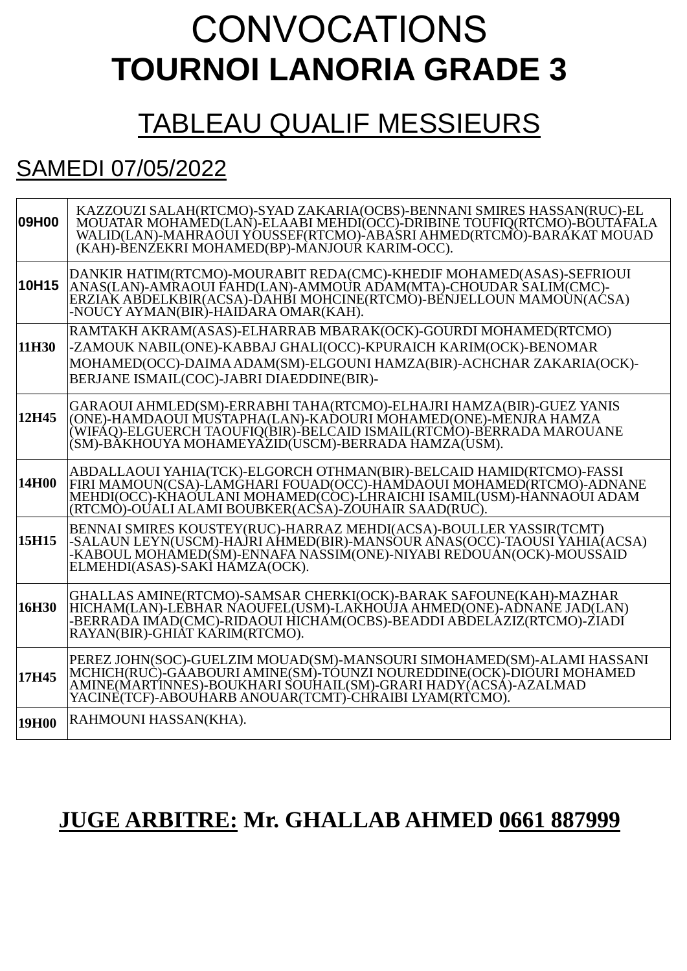# CONVOCATIONS **TOURNOI LANORIA GRADE 3**

### TABLEAU QUALIF MESSIEURS

### SAMEDI 07/05/2022

| 09H00 | KAZZOUZI SALAH(RTCMO)-SYAD ZAKARIA(OCBS)-BENNANI SMIRES HASSAN(RUC)-EL<br>MOUATAR MOHAMED(LAN)-ELAABI MEHDI(OCC)-DRIBINE TOUFIQ(RTCMO)-BOUTAFALA<br>WALID(LAN)-MAHRAOUI YOUSSEF(RTCMO)-ABASRI AHMED(RTCMO)-BARAKAT MOUAD<br>(KAH)-BENZEKRI MOHAMED(BP)-MANJOUR KARIM-OCC).  |
|-------|-----------------------------------------------------------------------------------------------------------------------------------------------------------------------------------------------------------------------------------------------------------------------------|
| 10H15 | DANKIR HATIM(RTCMO)-MOURABIT REDA(CMC)-KHEDIF MOHAMED(ASAS)-SEFRIOUI<br>ANAS(LAN)-AMRAOUI FAHD(LAN)-AMMOUR ADAM(MTA)-CHOUDAR SALIM(CMC)-<br>ERZIAK ABDELKBIR(ACSA)-DAHBI MOHCINE(RTCMO)-BÉNJELLOUN MAMOÙN(ACSA)<br>-NOUCY AYMAN(BIR)-HAIDARA OMAR(KAH).                     |
| 11H30 | RAMTAKH AKRAM(ASAS)-ELHARRAB MBARAK(OCK)-GOURDI MOHAMED(RTCMO)<br>-ZAMOUK NABIL(ONE)-KABBAJ GHALI(OCC)-KPURAICH KARIM(OCK)-BENOMAR<br>MOHAMED(OCC)-DAIMA ADAM(SM)-ELGOUNI HAMZA(BIR)-ACHCHAR ZAKARIA(OCK)-<br>BERJANE ISMAIL(COC)-JABRI DIAEDDINE(BIR)-                     |
| 12H45 | GARAOUI AHMLED(SM)-ERRABHI TAHA(RTCMO)-ELHAJRI HAMZA(BIR)-GUEZ YANIS<br>(ONE)-HAMDAOUI MUSTAPHA(LAN)-KADOURI MOHAMED(ONE)-MÈNJRA HAMZA<br>(WIFÁQ)-ELGUERCH TAOUFIQ(BIR)-BELCAID ISMAIL(RTCMO)-BERRADA MAROUANE<br>(SM)-BÄKHOUYA MOHAMEYĀZĪD(USCM)-BERRADA HAMZA(USM).       |
| 14H00 | ABDALLAOUI YAHIA(TCK)-ELGORCH OTHMAN(BIR)-BELCAID HAMID(RTCMO)-FASSI<br>FIRI MAMOUN(CSA)-LAMGHARI FOUAD(OCC)-HAMDAOUI MOHAMED(RTCMO)-ADNANE<br>MEHDI(OCC)-KHAOULANI MOHAMED(CÒC)-LHRAICHI ISAMIL(USM)-HANNAOUI ADAM<br>(RTCMÒ)-OÚALI ALAMI BOUBKER(ACŜA)-ZOUHAIR SAAD(RUC). |
| 15H15 | BENNAI SMIRES KOUSTEY(RUC)-HARRAZ MEHDI(ACSA)-BOULLER YASSIR(TCMT)<br>-SALAUN LEYN(USCM)-HAJRI AHMED(BIR)-MANSOUR ANAS(OCC)-TAOUSI YAHIA(ACSA)<br>-KABOUL MOHAMED(ŚM)-ENNAFA NASSIM(ONE)-NIYABI REDOUÁN(OCK)-MOUSSAID<br>ELMEHDI(ASAS)-SAKİ HAMZA(OCK).                     |
| 16H30 | GHALLAS AMINE(RTCMO)-SAMSAR CHERKI(OCK)-BARAK SAFOUNE(KAH)-MAZHAR<br>HICHAM(LAN)-LEBHAR NAOUFEL(USM)-LAKHOÙJA AHMED(ONE)-ADNANE JAD(LAN)<br>-BERRADA IMAD(CMC)-RIDAOUI HICHAM(OCBS)-BEADDI ABDELAZIZ(RTCMO)-ZIADI<br>RAYAN(BIR)-GHIAT KARIM(RTCMO).                         |
| 17H45 | PEREZ JOHN(SOC)-GUELZIM MOUAD(SM)-MANSOURI SIMOHAMED(SM)-ALAMI HASSANI<br>MCHICH(RUC)-GÁABOURI AMINE(SM)-TÓUNZI NOUREDDINE(OCK)-DIÓURI MOHAMED<br>AMINE(MARTINNES)-BOUKHARI SOUHAIL(SM)-GRARI HADY(ACSÁ)-AZALMAD<br>YACINE(TCF)-ABOUHARB ANOUAR(TCMT)-CHRAIBI LYAM(RTCMO).  |
| 19H00 | RAHMOUNI HASSAN(KHA).                                                                                                                                                                                                                                                       |

### **JUGE ARBITRE: Mr. GHALLAB AHMED 0661 887999**